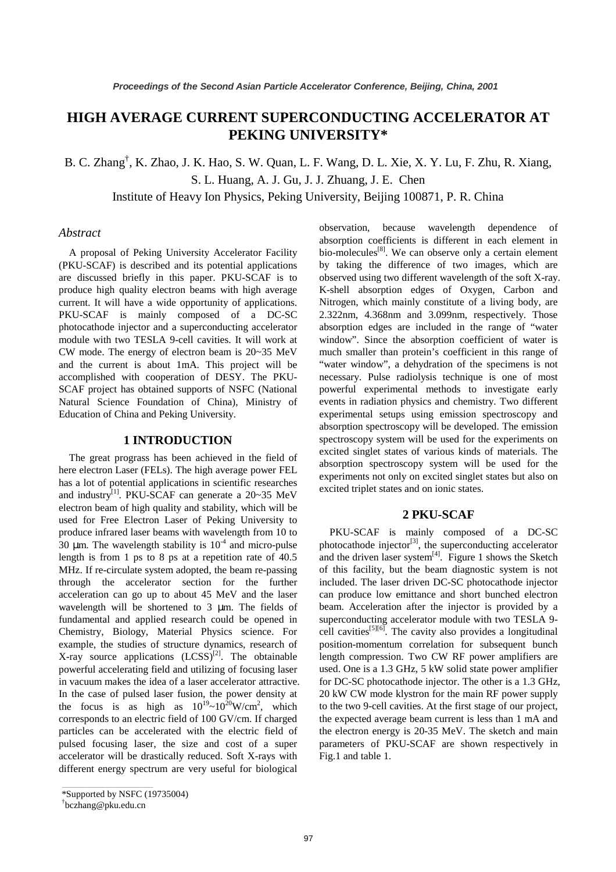# **HIGH AVERAGE CURRENT SUPERCONDUCTING ACCELERATOR AT PEKING UNIVERSITY\***

B. C. Zhang<sup>†</sup>, K. Zhao, J. K. Hao, S. W. Quan, L. F. Wang, D. L. Xie, X. Y. Lu, F. Zhu, R. Xiang, S. L. Huang, A. J. Gu, J. J. Zhuang, J. E. Chen Institute of Heavy Ion Physics, Peking University, Beijing 100871, P. R. China

## *Abstract*

A proposal of Peking University Accelerator Facility (PKU-SCAF) is described and its potential applications are discussed briefly in this paper. PKU-SCAF is to produce high quality electron beams with high average current. It will have a wide opportunity of applications. PKU-SCAF is mainly composed of a DC-SC photocathode injector and a superconducting accelerator module with two TESLA 9-cell cavities. It will work at CW mode. The energy of electron beam is 20~35 MeV and the current is about 1mA. This project will be accomplished with cooperation of DESY. The PKU-SCAF project has obtained supports of NSFC (National Natural Science Foundation of China), Ministry of Education of China and Peking University.

### **1 INTRODUCTION**

The great prograss has been achieved in the field of here electron Laser (FELs). The high average power FEL has a lot of potential applications in scientific researches and industry<sup>[1]</sup>. PKU-SCAF can generate a  $20~35$  MeV electron beam of high quality and stability, which will be used for Free Electron Laser of Peking University to produce infrared laser beams with wavelength from 10 to  $30 \mu$ m. The wavelength stability is  $10^{-4}$  and micro-pulse length is from 1 ps to 8 ps at a repetition rate of 40.5 MHz. If re-circulate system adopted, the beam re-passing through the accelerator section for the further acceleration can go up to about 45 MeV and the laser wavelength will be shortened to 3  $\mu$ m. The fields of fundamental and applied research could be opened in Chemistry, Biology, Material Physics science. For example, the studies of structure dynamics, research of X-ray source applications  $(LCSS)^{[2]}$ . The obtainable powerful accelerating field and utilizing of focusing laser in vacuum makes the idea of a laser accelerator attractive. In the case of pulsed laser fusion, the power density at the focus is as high as  $10^{19} \sim 10^{20} W/cm^2$ , which corresponds to an electric field of 100 GV/cm. If charged particles can be accelerated with the electric field of pulsed focusing laser, the size and cost of a super accelerator will be drastically reduced. Soft X-rays with different energy spectrum are very useful for biological

\_\_\_\_\_\_\_\_\_\_\_\_\_\_\_\_\_\_\_\_\_\_\_\_\_\_\_\_\_\_\_\_\_\_\_\_\_\_\_\_\_\_\_

observation, because wavelength dependence of absorption coefficients is different in each element in bio-molecules $[8]$ . We can observe only a certain element by taking the difference of two images, which are observed using two different wavelength of the soft X-ray. K-shell absorption edges of Oxygen, Carbon and Nitrogen, which mainly constitute of a living body, are 2.322nm, 4.368nm and 3.099nm, respectively. Those absorption edges are included in the range of "water window". Since the absorption coefficient of water is much smaller than protein's coefficient in this range of "water window", a dehydration of the specimens is not necessary. Pulse radiolysis technique is one of most powerful experimental methods to investigate early events in radiation physics and chemistry. Two different experimental setups using emission spectroscopy and absorption spectroscopy will be developed. The emission spectroscopy system will be used for the experiments on excited singlet states of various kinds of materials. The absorption spectroscopy system will be used for the experiments not only on excited singlet states but also on excited triplet states and on ionic states.

## **2 PKU-SCAF**

PKU-SCAF is mainly composed of a DC-SC photocathode injector<sup>[3]</sup>, the superconducting accelerator and the driven laser system $^{[4]}$ . Figure 1 shows the Sketch of this facility, but the beam diagnostic system is not included. The laser driven DC-SC photocathode injector can produce low emittance and short bunched electron beam. Acceleration after the injector is provided by a superconducting accelerator module with two TESLA 9 cell cavities<sup>[5][6]</sup>. The cavity also provides a longitudinal position-momentum correlation for subsequent bunch length compression. Two CW RF power amplifiers are used. One is a 1.3 GHz, 5 kW solid state power amplifier for DC-SC photocathode injector. The other is a 1.3 GHz, 20 kW CW mode klystron for the main RF power supply to the two 9-cell cavities. At the first stage of our project, the expected average beam current is less than 1 mA and the electron energy is 20-35 MeV. The sketch and main parameters of PKU-SCAF are shown respectively in Fig.1 and table 1.

<sup>\*</sup>Supported by NSFC (19735004)

<sup>†</sup> bczhang@pku.edu.cn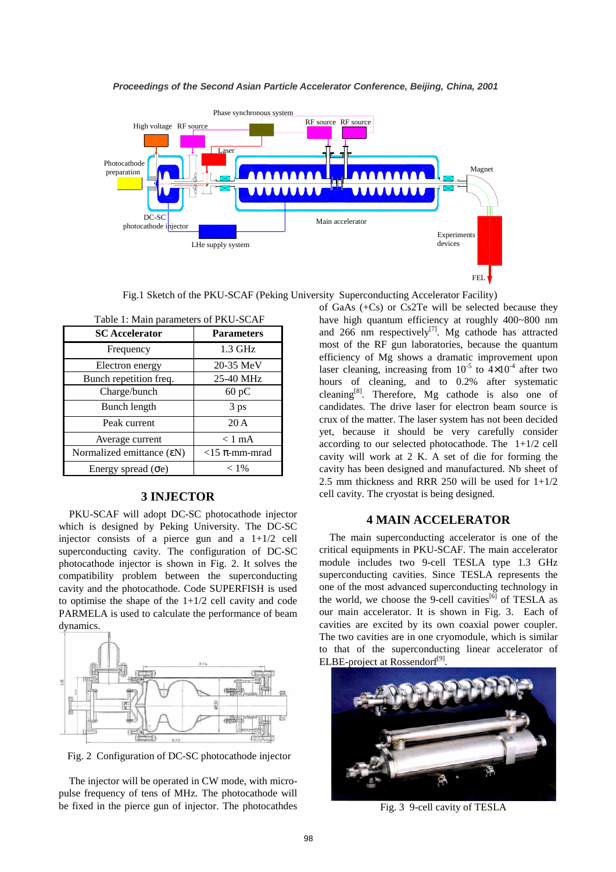

Fig.1 Sketch of the PKU-SCAF (Peking University Superconducting Accelerator Facility)

| Table 1: Main parameters of PKU-SCAF |                       |  |  |  |  |
|--------------------------------------|-----------------------|--|--|--|--|
| <b>SC</b> Accelerator                | <b>Parameters</b>     |  |  |  |  |
| Frequency                            | $1.3$ GHz             |  |  |  |  |
| Electron energy                      | 20-35 MeV             |  |  |  |  |
| Bunch repetition freq.               | 25-40 MHz             |  |  |  |  |
| Charge/bunch                         | 60 pC                 |  |  |  |  |
| Bunch length                         | 3 ps                  |  |  |  |  |
| Peak current                         | 20A                   |  |  |  |  |
| Average current                      | $< 1$ mA              |  |  |  |  |
| Normalized emittance (εN)            | $<$ 15 $\pi$ -mm-mrad |  |  |  |  |
| Energy spread $($ <del>o</del> e $)$ | $< 1\%$               |  |  |  |  |

### **3 INJECTOR**

PKU-SCAF will adopt DC-SC photocathode injector which is designed by Peking University. The DC-SC injector consists of a pierce gun and a  $1+1/2$  cell superconducting cavity. The configuration of DC-SC photocathode injector is shown in Fig. 2. It solves the compatibility problem between the superconducting cavity and the photocathode. Code SUPERFISH is used to optimise the shape of the  $1+1/2$  cell cavity and code PARMELA is used to calculate the performance of beam dynamics.



Fig. 2 Configuration of DC-SC photocathode injector

The injector will be operated in CW mode, with micropulse frequency of tens of MHz. The photocathode will be fixed in the pierce gun of injector. The photocathdes of GaAs (+Cs) or Cs2Te will be selected because they have high quantum efficiency at roughly 400~800 nm and 266 nm respectively<sup>[7]</sup>. Mg cathode has attracted most of the RF gun laboratories, because the quantum efficiency of Mg shows a dramatic improvement upon laser cleaning, increasing from  $10^{-5}$  to  $4\times10^{-4}$  after two hours of cleaning, and to 0.2% after systematic cleaning<sup>[8]</sup>. Therefore, Mg cathode is also one of candidates. The drive laser for electron beam source is crux of the matter. The laser system has not been decided yet, because it should be very carefully consider according to our selected photocathode. The  $1+1/2$  cell cavity will work at 2 K. A set of die for forming the cavity has been designed and manufactured. Nb sheet of 2.5 mm thickness and RRR 250 will be used for  $1+1/2$ cell cavity. The cryostat is being designed.

#### **4 MAIN ACCELERATOR**

The main superconducting accelerator is one of the critical equipments in PKU-SCAF. The main accelerator module includes two 9-cell TESLA type 1.3 GHz superconducting cavities. Since TESLA represents the one of the most advanced superconducting technology in the world, we choose the 9-cell cavities<sup>[6]</sup> of TESLA as our main accelerator. It is shown in Fig. 3. Each of cavities are excited by its own coaxial power coupler. The two cavities are in one cryomodule, which is similar to that of the superconducting linear accelerator of ELBE-project at Rossendorf<sup>[9]</sup>



Fig. 3 9-cell cavity of TESLA